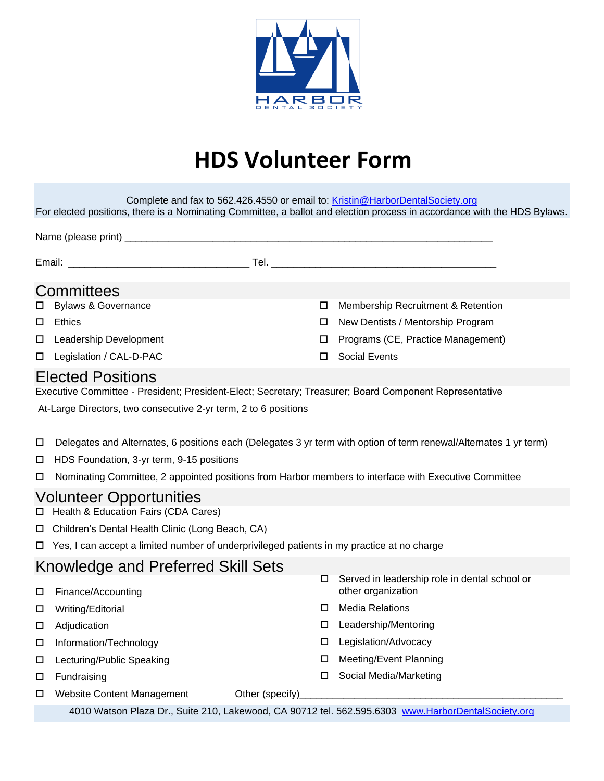

## **HDS Volunteer Form**

| Complete and fax to 562.426.4550 or email to: Kristin@HarborDentalSociety.org<br>For elected positions, there is a Nominating Committee, a ballot and election process in accordance with the HDS Bylaws. |                                                                                                                   |   |                                                                     |
|-----------------------------------------------------------------------------------------------------------------------------------------------------------------------------------------------------------|-------------------------------------------------------------------------------------------------------------------|---|---------------------------------------------------------------------|
|                                                                                                                                                                                                           |                                                                                                                   |   |                                                                     |
|                                                                                                                                                                                                           |                                                                                                                   |   |                                                                     |
| Committees                                                                                                                                                                                                |                                                                                                                   |   |                                                                     |
| □                                                                                                                                                                                                         | <b>Bylaws &amp; Governance</b>                                                                                    | □ | Membership Recruitment & Retention                                  |
| Ethics<br>□                                                                                                                                                                                               |                                                                                                                   | □ | New Dentists / Mentorship Program                                   |
| □                                                                                                                                                                                                         | Leadership Development                                                                                            | □ | Programs (CE, Practice Management)                                  |
|                                                                                                                                                                                                           | Legislation / CAL-D-PAC                                                                                           | □ | <b>Social Events</b>                                                |
| <b>Elected Positions</b>                                                                                                                                                                                  |                                                                                                                   |   |                                                                     |
| Executive Committee - President; President-Elect; Secretary; Treasurer; Board Component Representative                                                                                                    |                                                                                                                   |   |                                                                     |
| At-Large Directors, two consecutive 2-yr term, 2 to 6 positions                                                                                                                                           |                                                                                                                   |   |                                                                     |
| □                                                                                                                                                                                                         | Delegates and Alternates, 6 positions each (Delegates 3 yr term with option of term renewal/Alternates 1 yr term) |   |                                                                     |
| □                                                                                                                                                                                                         | HDS Foundation, 3-yr term, 9-15 positions                                                                         |   |                                                                     |
| □                                                                                                                                                                                                         | Nominating Committee, 2 appointed positions from Harbor members to interface with Executive Committee             |   |                                                                     |
| <b>Volunteer Opportunities</b><br>Health & Education Fairs (CDA Cares)<br>$\Box$                                                                                                                          |                                                                                                                   |   |                                                                     |
| Children's Dental Health Clinic (Long Beach, CA)<br>□.                                                                                                                                                    |                                                                                                                   |   |                                                                     |
|                                                                                                                                                                                                           | $\Box$ Yes, I can accept a limited number of underprivileged patients in my practice at no charge                 |   |                                                                     |
| Knowledge and Preferred Skill Sets                                                                                                                                                                        |                                                                                                                   |   |                                                                     |
| $\Box$                                                                                                                                                                                                    | Finance/Accounting                                                                                                | □ | Served in leadership role in dental school or<br>other organization |
| □                                                                                                                                                                                                         | Writing/Editorial                                                                                                 | □ | <b>Media Relations</b>                                              |
| □                                                                                                                                                                                                         | Adjudication                                                                                                      | □ | Leadership/Mentoring                                                |
| □                                                                                                                                                                                                         | Information/Technology                                                                                            | □ | Legislation/Advocacy                                                |
| □                                                                                                                                                                                                         | Lecturing/Public Speaking                                                                                         | □ | Meeting/Event Planning                                              |
| □                                                                                                                                                                                                         | Fundraising                                                                                                       | □ | Social Media/Marketing                                              |
| □                                                                                                                                                                                                         | Other (specify)<br><b>Website Content Management</b>                                                              |   |                                                                     |
| 4010 Watson Plaza Dr., Suite 210, Lakewood, CA 90712 tel. 562.595.6303 www.HarborDentalSociety.org                                                                                                        |                                                                                                                   |   |                                                                     |